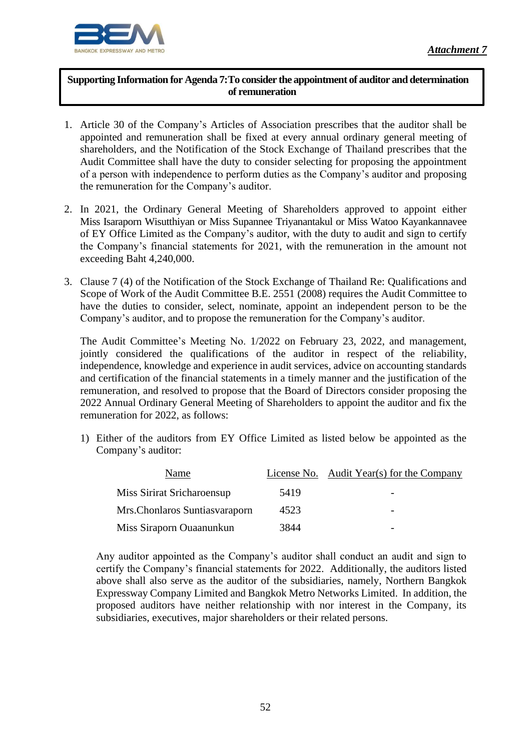

֦

## **Supporting Information for Agenda 7:To consider the appointment of auditor and determination of remuneration**

- 1. Article 30 of the Company's Articles of Association prescribes that the auditor shall be appointed and remuneration shall be fixed at every annual ordinary general meeting of shareholders, and the Notification of the Stock Exchange of Thailand prescribes that the Audit Committee shall have the duty to consider selecting for proposing the appointment of a person with independence to perform duties as the Company's auditor and proposing the remuneration for the Company's auditor.
- 2. In 2021, the Ordinary General Meeting of Shareholders approved to appoint either Miss Isaraporn Wisutthiyan or Miss Supannee Triyanantakul or Miss Watoo Kayankannavee of EY Office Limited as the Company's auditor, with the duty to audit and sign to certify the Company's financial statements for 2021, with the remuneration in the amount not exceeding Baht 4,240,000.
- 3. Clause 7 (4) of the Notification of the Stock Exchange of Thailand Re: Qualifications and Scope of Work of the Audit Committee B.E. 2551 (2008) requires the Audit Committee to have the duties to consider, select, nominate, appoint an independent person to be the Company's auditor, and to propose the remuneration for the Company's auditor.

The Audit Committee's Meeting No. 1/2022 on February 23, 2022, and management, jointly considered the qualifications of the auditor in respect of the reliability, independence, knowledge and experience in audit services, advice on accounting standards and certification of the financial statements in a timely manner and the justification of the remuneration, and resolved to propose that the Board of Directors consider proposing the 2022 Annual Ordinary General Meeting of Shareholders to appoint the auditor and fix the remuneration for 2022, as follows:

1) Either of the auditors from EY Office Limited as listed below be appointed as the Company's auditor:

| Name                            |      | License No. Audit Year(s) for the Company |
|---------------------------------|------|-------------------------------------------|
| Miss Sirirat Sricharoensup      | 5419 |                                           |
| Mrs. Chonlaros Suntias varaporn | 4523 | -                                         |
| Miss Siraporn Ouaanunkun        | 3844 |                                           |

Any auditor appointed as the Company's auditor shall conduct an audit and sign to certify the Company's financial statements for 2022. Additionally, the auditors listed above shall also serve as the auditor of the subsidiaries, namely, Northern Bangkok Expressway Company Limited and Bangkok Metro Networks Limited. In addition, the proposed auditors have neither relationship with nor interest in the Company, its subsidiaries, executives, major shareholders or their related persons.